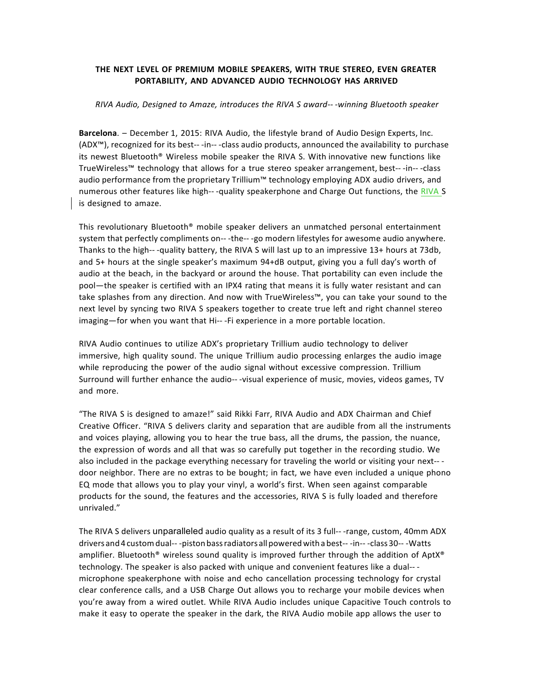# **THE NEXT LEVEL OF PREMIUM MOBILE SPEAKERS, WITH TRUE STEREO, EVEN GREATER PORTABILITY, AND ADVANCED AUDIO TECHNOLOGY HAS ARRIVED**

#### *RIVA Audio, Designed to Amaze, introduces the RIVA S award-- -winning Bluetooth speaker*

**Barcelona.** – December 1, 2015: RIVA Audio, the lifestyle brand of Audio Design Experts, Inc. (ADX<sup>™</sup>), recognized for its best---in---class audio products, announced the availability to purchase its newest Bluetooth® Wireless mobile speaker the RIVA S. With innovative new functions like TrueWireless™ technology that allows for a true stereo speaker arrangement, best---in---class audio performance from the proprietary Trillium™ technology employing ADX audio drivers, and numerous other features like high---quality speakerphone and Charge Out functions, the RIVA S is designed to amaze.

This revolutionary Bluetooth® mobile speaker delivers an unmatched personal entertainment system that perfectly compliments on---the---go modern lifestyles for awesome audio anywhere. Thanks to the high-- -quality battery, the RIVA S will last up to an impressive 13+ hours at 73db, and 5+ hours at the single speaker's maximum 94+dB output, giving you a full day's worth of audio at the beach, in the backyard or around the house. That portability can even include the pool—the speaker is certified with an IPX4 rating that means it is fully water resistant and can take splashes from any direction. And now with TrueWireless™, you can take your sound to the next level by syncing two RIVA S speakers together to create true left and right channel stereo imaging—for when you want that Hi-- -Fi experience in a more portable location.

RIVA Audio continues to utilize ADX's proprietary Trillium audio technology to deliver immersive, high quality sound. The unique Trillium audio processing enlarges the audio image while reproducing the power of the audio signal without excessive compression. Trillium Surround will further enhance the audio-- -visual experience of music, movies, videos games, TV and more.

"The RIVA S is designed to amaze!" said Rikki Farr, RIVA Audio and ADX Chairman and Chief Creative Officer. "RIVA S delivers clarity and separation that are audible from all the instruments and voices playing, allowing you to hear the true bass, all the drums, the passion, the nuance, the expression of words and all that was so carefully put together in the recording studio. We also included in the package everything necessary for traveling the world or visiting your next-- door neighbor. There are no extras to be bought; in fact, we have even included a unique phono EQ mode that allows you to play your vinyl, a world's first. When seen against comparable products for the sound, the features and the accessories, RIVA S is fully loaded and therefore unrivaled."

The RIVA S delivers unparalleled audio quality as a result of its 3 full---range, custom, 40mm ADX drivers and 4 custom dual---piston bass radiators all powered with a best---in---class 30---Watts amplifier. Bluetooth<sup>®</sup> wireless sound quality is improved further through the addition of Apt $X^{\circ}$ technology. The speaker is also packed with unique and convenient features like a dual-- microphone speakerphone with noise and echo cancellation processing technology for crystal clear conference calls, and a USB Charge Out allows you to recharge your mobile devices when you're away from a wired outlet. While RIVA Audio includes unique Capacitive Touch controls to make it easy to operate the speaker in the dark, the RIVA Audio mobile app allows the user to